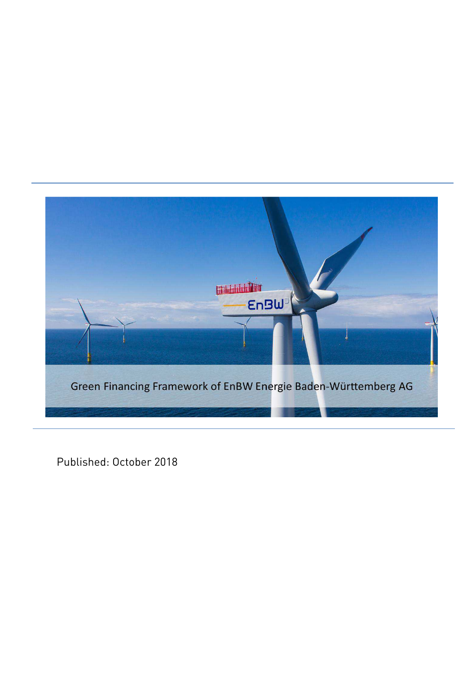

Published: October 2018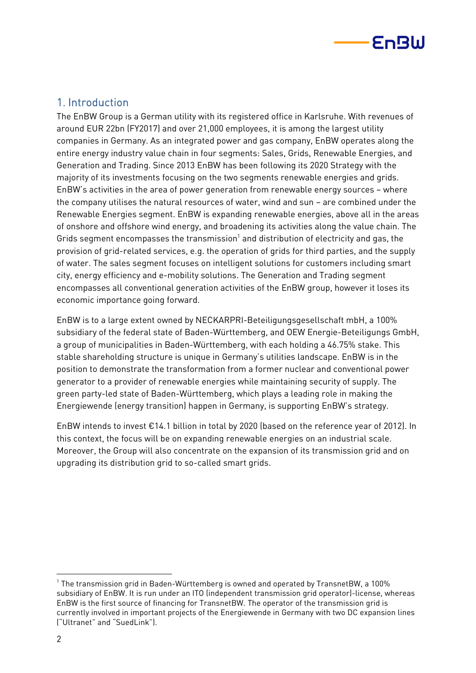

# 1. Introduction

The EnBW Group is a German utility with its registered office in Karlsruhe. With revenues of around EUR 22bn (FY2017) and over 21,000 employees, it is among the largest utility companies in Germany. As an integrated power and gas company, EnBW operates along the entire energy industry value chain in four segments: Sales, Grids, Renewable Energies, and Generation and Trading. Since 2013 EnBW has been following its 2020 Strategy with the majority of its investments focusing on the two segments renewable energies and grids. EnBW's activities in the area of power generation from renewable energy sources – where the company utilises the natural resources of water, wind and sun – are combined under the Renewable Energies segment. EnBW is expanding renewable energies, above all in the areas of onshore and offshore wind energy, and broadening its activities along the value chain. The Grids segment encompasses the transmission $^{1}$  and distribution of electricity and gas, the provision of grid-related services, e.g. the operation of grids for third parties, and the supply of water. The sales segment focuses on intelligent solutions for customers including smart city, energy efficiency and e-mobility solutions. The Generation and Trading segment encompasses all conventional generation activities of the EnBW group, however it loses its economic importance going forward.

EnBW is to a large extent owned by NECKARPRI-Beteiligungsgesellschaft mbH, a 100% subsidiary of the federal state of Baden-Württemberg, and OEW Energie-Beteiligungs GmbH, a group of municipalities in Baden-Württemberg, with each holding a 46.75% stake. This stable shareholding structure is unique in Germany's utilities landscape. EnBW is in the position to demonstrate the transformation from a former nuclear and conventional power generator to a provider of renewable energies while maintaining security of supply. The green party-led state of Baden-Württemberg, which plays a leading role in making the Energiewende (energy transition) happen in Germany, is supporting EnBW's strategy.

EnBW intends to invest €14.1 billion in total by 2020 (based on the reference year of 2012). In this context, the focus will be on expanding renewable energies on an industrial scale. Moreover, the Group will also concentrate on the expansion of its transmission grid and on upgrading its distribution grid to so-called smart grids.

 $\overline{a}$ 

 $^{\rm 1}$  The transmission grid in Baden-Württemberg is owned and operated by TransnetBW, a 100%  $\,$ subsidiary of EnBW. It is run under an ITO (independent transmission grid operator)-license, whereas EnBW is the first source of financing for TransnetBW. The operator of the transmission grid is currently involved in important projects of the Energiewende in Germany with two DC expansion lines ("Ultranet" and "SuedLink").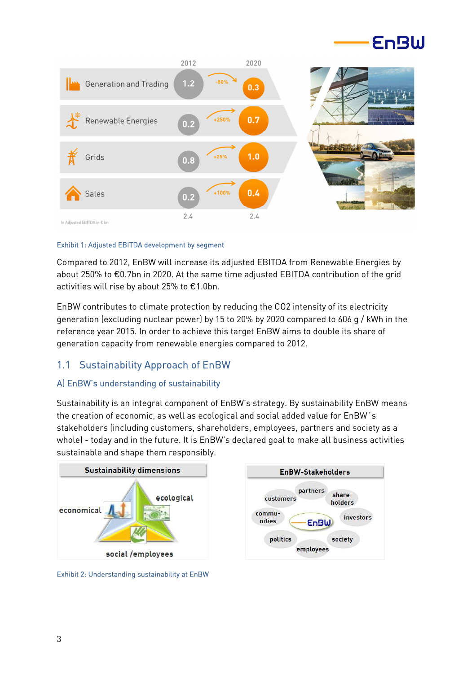



#### Exhibit 1: Adjusted EBITDA development by segment

Compared to 2012, EnBW will increase its adjusted EBITDA from Renewable Energies by about 250% to €0.7bn in 2020. At the same time adjusted EBITDA contribution of the grid activities will rise by about 25% to €1.0bn.

EnBW contributes to climate protection by reducing the CO2 intensity of its electricity generation (excluding nuclear power) by 15 to 20% by 2020 compared to 606 g / kWh in the reference year 2015. In order to achieve this target EnBW aims to double its share of generation capacity from renewable energies compared to 2012.

# 1.1 Sustainability Approach of EnBW

### A) EnBW's understanding of sustainability

Sustainability is an integral component of EnBW's strategy. By sustainability EnBW means the creation of economic, as well as ecological and social added value for EnBW´s stakeholders (including customers, shareholders, employees, partners and society as a whole) - today and in the future. It is EnBW's declared goal to make all business activities sustainable and shape them responsibly.



Exhibit 2: Understanding sustainability at EnBW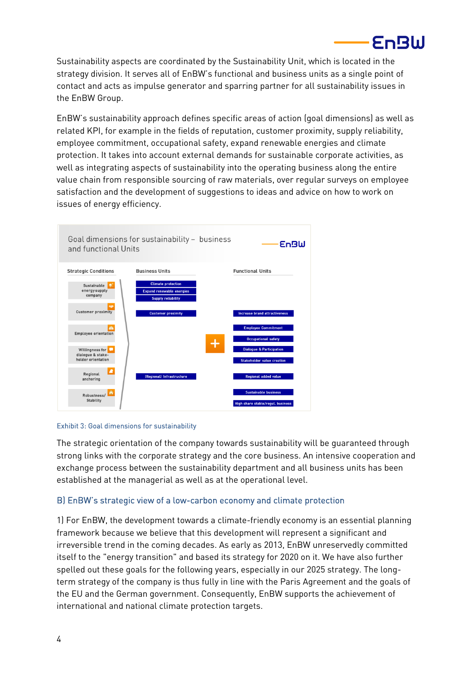Sustainability aspects are coordinated by the Sustainability Unit, which is located in the strategy division. It serves all of EnBW's functional and business units as a single point of contact and acts as impulse generator and sparring partner for all sustainability issues in the EnBW Group.

EnBW

EnBW's sustainability approach defines specific areas of action (goal dimensions) as well as related KPI, for example in the fields of reputation, customer proximity, supply reliability, employee commitment, occupational safety, expand renewable energies and climate protection. It takes into account external demands for sustainable corporate activities, as well as integrating aspects of sustainability into the operating business along the entire value chain from responsible sourcing of raw materials, over regular surveys on employee satisfaction and the development of suggestions to ideas and advice on how to work on issues of energy efficiency.



#### Exhibit 3: Goal dimensions for sustainability

The strategic orientation of the company towards sustainability will be guaranteed through strong links with the corporate strategy and the core business. An intensive cooperation and exchange process between the sustainability department and all business units has been established at the managerial as well as at the operational level.

## B) EnBW's strategic view of a low-carbon economy and climate protection

1) For EnBW, the development towards a climate-friendly economy is an essential planning framework because we believe that this development will represent a significant and irreversible trend in the coming decades. As early as 2013, EnBW unreservedly committed itself to the "energy transition" and based its strategy for 2020 on it. We have also further spelled out these goals for the following years, especially in our 2025 strategy. The longterm strategy of the company is thus fully in line with the Paris Agreement and the goals of the EU and the German government. Consequently, EnBW supports the achievement of international and national climate protection targets.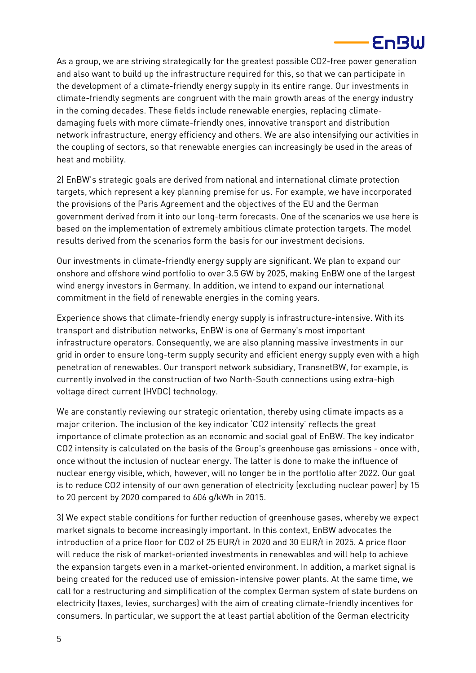

As a group, we are striving strategically for the greatest possible CO2-free power generation and also want to build up the infrastructure required for this, so that we can participate in the development of a climate-friendly energy supply in its entire range. Our investments in climate-friendly segments are congruent with the main growth areas of the energy industry in the coming decades. These fields include renewable energies, replacing climatedamaging fuels with more climate-friendly ones, innovative transport and distribution network infrastructure, energy efficiency and others. We are also intensifying our activities in the coupling of sectors, so that renewable energies can increasingly be used in the areas of heat and mobility.

2) EnBW's strategic goals are derived from national and international climate protection targets, which represent a key planning premise for us. For example, we have incorporated the provisions of the Paris Agreement and the objectives of the EU and the German government derived from it into our long-term forecasts. One of the scenarios we use here is based on the implementation of extremely ambitious climate protection targets. The model results derived from the scenarios form the basis for our investment decisions.

Our investments in climate-friendly energy supply are significant. We plan to expand our onshore and offshore wind portfolio to over 3.5 GW by 2025, making EnBW one of the largest wind energy investors in Germany. In addition, we intend to expand our international commitment in the field of renewable energies in the coming years.

Experience shows that climate-friendly energy supply is infrastructure-intensive. With its transport and distribution networks, EnBW is one of Germany's most important infrastructure operators. Consequently, we are also planning massive investments in our grid in order to ensure long-term supply security and efficient energy supply even with a high penetration of renewables. Our transport network subsidiary, TransnetBW, for example, is currently involved in the construction of two North-South connections using extra-high voltage direct current (HVDC) technology.

We are constantly reviewing our strategic orientation, thereby using climate impacts as a major criterion. The inclusion of the key indicator 'CO2 intensity' reflects the great importance of climate protection as an economic and social goal of EnBW. The key indicator CO2 intensity is calculated on the basis of the Group's greenhouse gas emissions - once with, once without the inclusion of nuclear energy. The latter is done to make the influence of nuclear energy visible, which, however, will no longer be in the portfolio after 2022. Our goal is to reduce CO2 intensity of our own generation of electricity (excluding nuclear power) by 15 to 20 percent by 2020 compared to 606 g/kWh in 2015.

3) We expect stable conditions for further reduction of greenhouse gases, whereby we expect market signals to become increasingly important. In this context, EnBW advocates the introduction of a price floor for CO2 of 25 EUR/t in 2020 and 30 EUR/t in 2025. A price floor will reduce the risk of market-oriented investments in renewables and will help to achieve the expansion targets even in a market-oriented environment. In addition, a market signal is being created for the reduced use of emission-intensive power plants. At the same time, we call for a restructuring and simplification of the complex German system of state burdens on electricity (taxes, levies, surcharges) with the aim of creating climate-friendly incentives for consumers. In particular, we support the at least partial abolition of the German electricity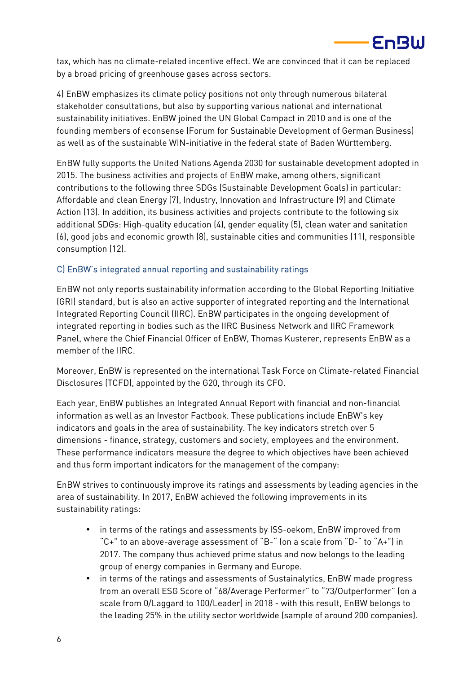

tax, which has no climate-related incentive effect. We are convinced that it can be replaced by a broad pricing of greenhouse gases across sectors.

4) EnBW emphasizes its climate policy positions not only through numerous bilateral stakeholder consultations, but also by supporting various national and international sustainability initiatives. EnBW joined the UN Global Compact in 2010 and is one of the founding members of econsense (Forum for Sustainable Development of German Business) as well as of the sustainable WIN-initiative in the federal state of Baden Württemberg.

EnBW fully supports the United Nations Agenda 2030 for sustainable development adopted in 2015. The business activities and projects of EnBW make, among others, significant contributions to the following three SDGs (Sustainable Development Goals) in particular: Affordable and clean Energy (7), Industry, Innovation and Infrastructure (9) and Climate Action (13). In addition, its business activities and projects contribute to the following six additional SDGs: High-quality education (4), gender equality (5), clean water and sanitation (6), good jobs and economic growth (8), sustainable cities and communities (11), responsible consumption (12).

## C) EnBW's integrated annual reporting and sustainability ratings

EnBW not only reports sustainability information according to the Global Reporting Initiative (GRI) standard, but is also an active supporter of integrated reporting and the International Integrated Reporting Council (IIRC). EnBW participates in the ongoing development of integrated reporting in bodies such as the IIRC Business Network and IIRC Framework Panel, where the Chief Financial Officer of EnBW, Thomas Kusterer, represents EnBW as a member of the IIRC.

Moreover, EnBW is represented on the international Task Force on Climate-related Financial Disclosures (TCFD), appointed by the G20, through its CFO.

Each year, EnBW publishes an Integrated Annual Report with financial and non-financial information as well as an Investor Factbook. These publications include EnBW's key indicators and goals in the area of sustainability. The key indicators stretch over 5 dimensions - finance, strategy, customers and society, employees and the environment. These performance indicators measure the degree to which objectives have been achieved and thus form important indicators for the management of the company:

EnBW strives to continuously improve its ratings and assessments by leading agencies in the area of sustainability. In 2017, EnBW achieved the following improvements in its sustainability ratings:

- in terms of the ratings and assessments by ISS-oekom, EnBW improved from "C+" to an above-average assessment of "B-" (on a scale from "D-" to "A+") in 2017. The company thus achieved prime status and now belongs to the leading group of energy companies in Germany and Europe.
- in terms of the ratings and assessments of Sustainalytics, EnBW made progress from an overall ESG Score of "68/Average Performer" to "73/Outperformer" (on a scale from 0/Laggard to 100/Leader) in 2018 - with this result, EnBW belongs to the leading 25% in the utility sector worldwide (sample of around 200 companies).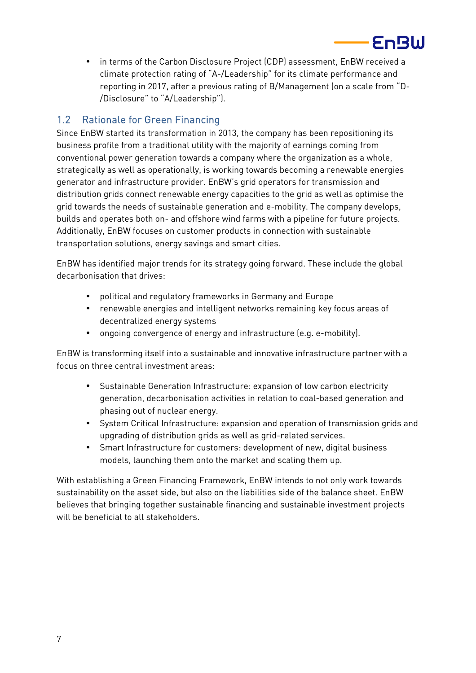• in terms of the Carbon Disclosure Project (CDP) assessment, EnBW received a climate protection rating of "A-/Leadership" for its climate performance and reporting in 2017, after a previous rating of B/Management (on a scale from "D- /Disclosure" to "A/Leadership").

Foßlil

# 1.2 Rationale for Green Financing

Since EnBW started its transformation in 2013, the company has been repositioning its business profile from a traditional utility with the majority of earnings coming from conventional power generation towards a company where the organization as a whole, strategically as well as operationally, is working towards becoming a renewable energies generator and infrastructure provider. EnBW's grid operators for transmission and distribution grids connect renewable energy capacities to the grid as well as optimise the grid towards the needs of sustainable generation and e-mobility. The company develops, builds and operates both on- and offshore wind farms with a pipeline for future projects. Additionally, EnBW focuses on customer products in connection with sustainable transportation solutions, energy savings and smart cities.

EnBW has identified major trends for its strategy going forward. These include the global decarbonisation that drives:

- political and regulatory frameworks in Germany and Europe
- renewable energies and intelligent networks remaining key focus areas of decentralized energy systems
- ongoing convergence of energy and infrastructure (e.g. e-mobility).

EnBW is transforming itself into a sustainable and innovative infrastructure partner with a focus on three central investment areas:

- Sustainable Generation Infrastructure: expansion of low carbon electricity generation, decarbonisation activities in relation to coal-based generation and phasing out of nuclear energy.
- System Critical Infrastructure: expansion and operation of transmission grids and upgrading of distribution grids as well as grid-related services.
- Smart Infrastructure for customers: development of new, digital business models, launching them onto the market and scaling them up.

With establishing a Green Financing Framework, EnBW intends to not only work towards sustainability on the asset side, but also on the liabilities side of the balance sheet. EnBW believes that bringing together sustainable financing and sustainable investment projects will be beneficial to all stakeholders.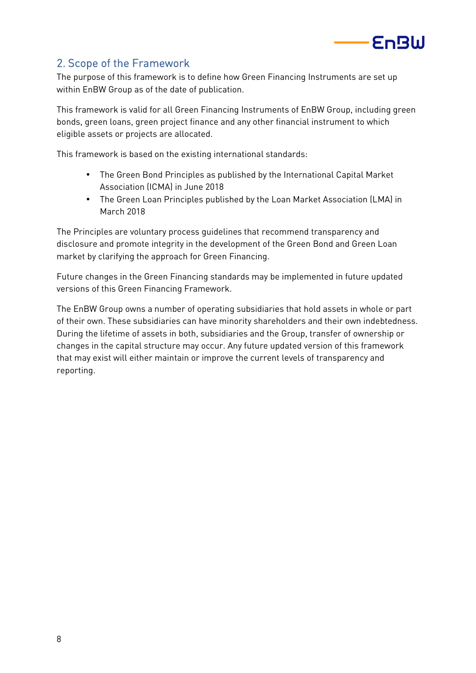

# 2. Scope of the Framework

The purpose of this framework is to define how Green Financing Instruments are set up within EnBW Group as of the date of publication.

This framework is valid for all Green Financing Instruments of EnBW Group, including green bonds, green loans, green project finance and any other financial instrument to which eligible assets or projects are allocated.

This framework is based on the existing international standards:

- The Green Bond Principles as published by the International Capital Market Association (ICMA) in June 2018
- The Green Loan Principles published by the Loan Market Association (LMA) in March 2018

The Principles are voluntary process guidelines that recommend transparency and disclosure and promote integrity in the development of the Green Bond and Green Loan market by clarifying the approach for Green Financing.

Future changes in the Green Financing standards may be implemented in future updated versions of this Green Financing Framework.

The EnBW Group owns a number of operating subsidiaries that hold assets in whole or part of their own. These subsidiaries can have minority shareholders and their own indebtedness. During the lifetime of assets in both, subsidiaries and the Group, transfer of ownership or changes in the capital structure may occur. Any future updated version of this framework that may exist will either maintain or improve the current levels of transparency and reporting.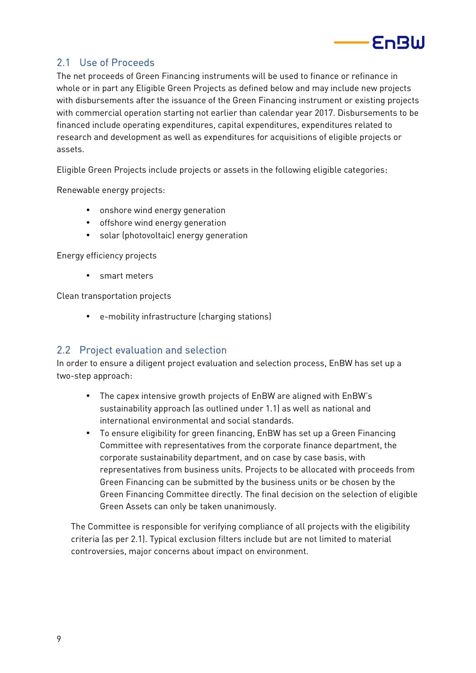

# 2.1 Use of Proceeds

The net proceeds of Green Financing instruments will be used to finance or refinance in whole or in part any Eligible Green Projects as defined below and may include new projects with disbursements after the issuance of the Green Financing instrument or existing projects with commercial operation starting not earlier than calendar year 2017. Disbursements to be financed include operating expenditures, capital expenditures, expenditures related to research and development as well as expenditures for acquisitions of eligible projects or assets.

Eligible Green Projects include projects or assets in the following eligible categories:

Renewable energy projects:

- onshore wind energy generation
- offshore wind energy generation
- solar (photovoltaic) energy generation

Energy efficiency projects

• smart meters

Clean transportation projects

• e-mobility infrastructure (charging stations)

# 2.2 Project evaluation and selection

In order to ensure a diligent project evaluation and selection process, EnBW has set up a two-step approach:

- The capex intensive growth projects of EnBW are aligned with EnBW's sustainability approach (as outlined under 1.1) as well as national and international environmental and social standards.
- To ensure eligibility for green financing, EnBW has set up a Green Financing Committee with representatives from the corporate finance department, the corporate sustainability department, and on case by case basis, with representatives from business units. Projects to be allocated with proceeds from Green Financing can be submitted by the business units or be chosen by the Green Financing Committee directly. The final decision on the selection of eligible Green Assets can only be taken unanimously.

The Committee is responsible for verifying compliance of all projects with the eligibility criteria (as per 2.1). Typical exclusion filters include but are not limited to material controversies, major concerns about impact on environment.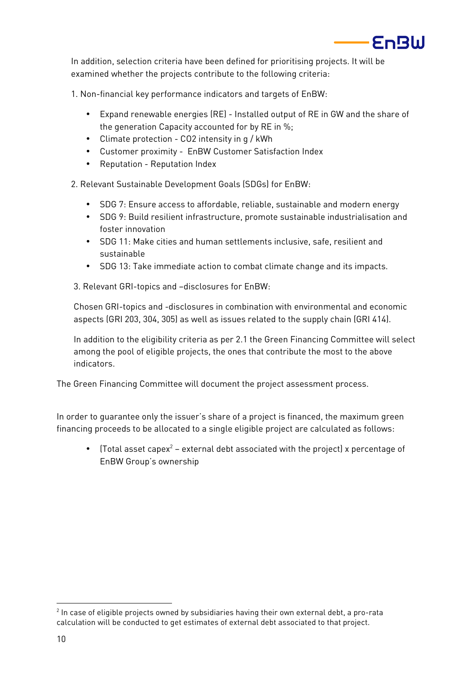

In addition, selection criteria have been defined for prioritising projects. It will be examined whether the projects contribute to the following criteria:

1. Non-financial key performance indicators and targets of EnBW:

- Expand renewable energies (RE) Installed output of RE in GW and the share of the generation Capacity accounted for by RE in %;
- Climate protection CO2 intensity in g / kWh
- Customer proximity EnBW Customer Satisfaction Index
- Reputation Reputation Index

2. Relevant Sustainable Development Goals (SDGs) for EnBW:

- SDG 7: Ensure access to affordable, reliable, sustainable and modern energy
- SDG 9: Build resilient infrastructure, promote sustainable industrialisation and foster innovation
- SDG 11: Make cities and human settlements inclusive, safe, resilient and sustainable
- SDG 13: Take immediate action to combat climate change and its impacts.
- 3. Relevant GRI-topics and –disclosures for EnBW:

Chosen GRI-topics and -disclosures in combination with environmental and economic aspects (GRI 203, 304, 305) as well as issues related to the supply chain (GRI 414).

In addition to the eligibility criteria as per 2.1 the Green Financing Committee will select among the pool of eligible projects, the ones that contribute the most to the above indicators.

The Green Financing Committee will document the project assessment process.

In order to guarantee only the issuer's share of a project is financed, the maximum green financing proceeds to be allocated to a single eligible project are calculated as follows:

• (Total asset capex<sup>2</sup> – external debt associated with the project) x percentage of EnBW Group's ownership

 $\overline{a}$ 

 $^{\rm 2}$  In case of eligible projects owned by subsidiaries having their own external debt, a pro-rata calculation will be conducted to get estimates of external debt associated to that project.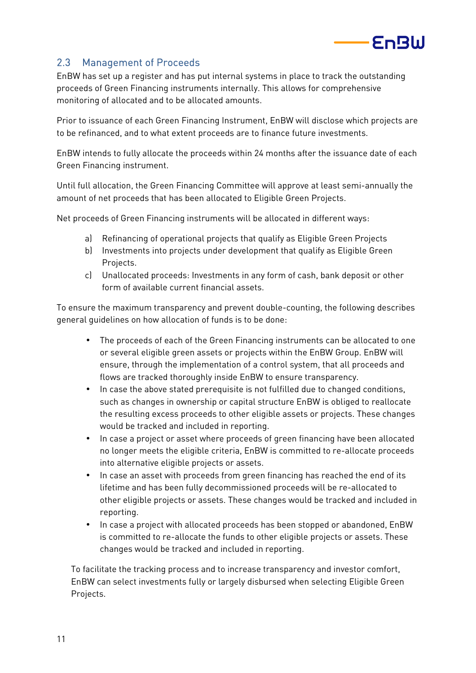

# 2.3 Management of Proceeds

EnBW has set up a register and has put internal systems in place to track the outstanding proceeds of Green Financing instruments internally. This allows for comprehensive monitoring of allocated and to be allocated amounts.

Prior to issuance of each Green Financing Instrument, EnBW will disclose which projects are to be refinanced, and to what extent proceeds are to finance future investments.

EnBW intends to fully allocate the proceeds within 24 months after the issuance date of each Green Financing instrument.

Until full allocation, the Green Financing Committee will approve at least semi-annually the amount of net proceeds that has been allocated to Eligible Green Projects.

Net proceeds of Green Financing instruments will be allocated in different ways:

- a) Refinancing of operational projects that qualify as Eligible Green Projects
- b) Investments into projects under development that qualify as Eligible Green Projects.
- c) Unallocated proceeds: Investments in any form of cash, bank deposit or other form of available current financial assets.

To ensure the maximum transparency and prevent double-counting, the following describes general guidelines on how allocation of funds is to be done:

- The proceeds of each of the Green Financing instruments can be allocated to one or several eligible green assets or projects within the EnBW Group. EnBW will ensure, through the implementation of a control system, that all proceeds and flows are tracked thoroughly inside EnBW to ensure transparency.
- In case the above stated prerequisite is not fulfilled due to changed conditions, such as changes in ownership or capital structure EnBW is obliged to reallocate the resulting excess proceeds to other eligible assets or projects. These changes would be tracked and included in reporting.
- In case a project or asset where proceeds of green financing have been allocated no longer meets the eligible criteria, EnBW is committed to re-allocate proceeds into alternative eligible projects or assets.
- In case an asset with proceeds from green financing has reached the end of its lifetime and has been fully decommissioned proceeds will be re-allocated to other eligible projects or assets. These changes would be tracked and included in reporting.
- In case a project with allocated proceeds has been stopped or abandoned, EnBW is committed to re-allocate the funds to other eligible projects or assets. These changes would be tracked and included in reporting.

To facilitate the tracking process and to increase transparency and investor comfort, EnBW can select investments fully or largely disbursed when selecting Eligible Green Projects.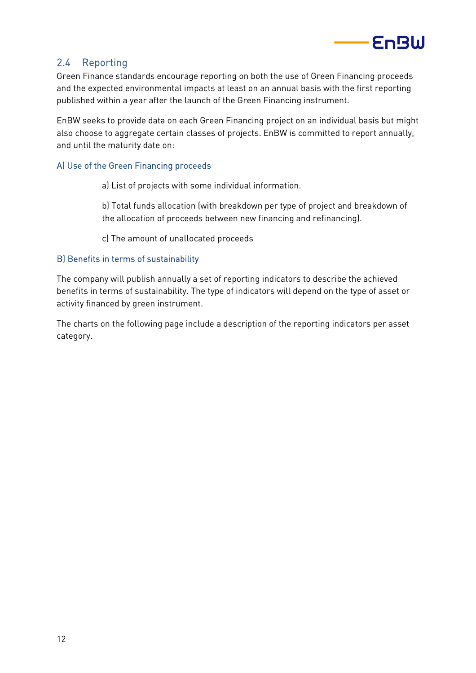

# 2.4 Reporting

Green Finance standards encourage reporting on both the use of Green Financing proceeds and the expected environmental impacts at least on an annual basis with the first reporting published within a year after the launch of the Green Financing instrument.

EnBW seeks to provide data on each Green Financing project on an individual basis but might also choose to aggregate certain classes of projects. EnBW is committed to report annually, and until the maturity date on:

### A) Use of the Green Financing proceeds

a) List of projects with some individual information.

b) Total funds allocation (with breakdown per type of project and breakdown of the allocation of proceeds between new financing and refinancing).

c) The amount of unallocated proceeds

### B) Benefits in terms of sustainability

The company will publish annually a set of reporting indicators to describe the achieved benefits in terms of sustainability. The type of indicators will depend on the type of asset or activity financed by green instrument.

The charts on the following page include a description of the reporting indicators per asset category.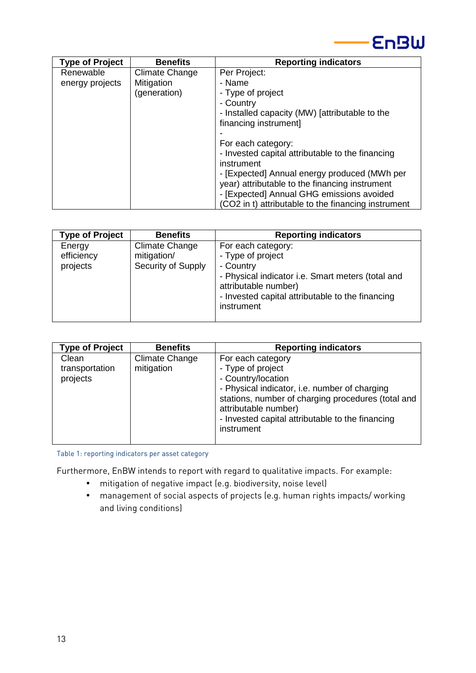

| <b>Type of Project</b> | <b>Benefits</b>       | <b>Reporting indicators</b>                         |
|------------------------|-----------------------|-----------------------------------------------------|
| Renewable              | <b>Climate Change</b> | Per Project:                                        |
| energy projects        | Mitigation            | - Name                                              |
|                        | (generation)          | - Type of project                                   |
|                        |                       | - Country                                           |
|                        |                       | - Installed capacity (MW) [attributable to the      |
|                        |                       | financing instrument]                               |
|                        |                       |                                                     |
|                        |                       | For each category:                                  |
|                        |                       | - Invested capital attributable to the financing    |
|                        |                       | instrument                                          |
|                        |                       | - [Expected] Annual energy produced (MWh per        |
|                        |                       | year) attributable to the financing instrument      |
|                        |                       | - [Expected] Annual GHG emissions avoided           |
|                        |                       | (CO2 in t) attributable to the financing instrument |

| <b>Type of Project</b>           | <b>Benefits</b>                                            | <b>Reporting indicators</b>                                                                                                                                                                         |
|----------------------------------|------------------------------------------------------------|-----------------------------------------------------------------------------------------------------------------------------------------------------------------------------------------------------|
| Energy<br>efficiency<br>projects | <b>Climate Change</b><br>mitigation/<br>Security of Supply | For each category:<br>- Type of project<br>- Country<br>- Physical indicator i.e. Smart meters (total and<br>attributable number)<br>- Invested capital attributable to the financing<br>instrument |
|                                  |                                                            |                                                                                                                                                                                                     |

| <b>Type of Project</b>              | <b>Benefits</b>                     | <b>Reporting indicators</b>                                                                                                                                                                                                                                   |
|-------------------------------------|-------------------------------------|---------------------------------------------------------------------------------------------------------------------------------------------------------------------------------------------------------------------------------------------------------------|
| Clean<br>transportation<br>projects | <b>Climate Change</b><br>mitigation | For each category<br>- Type of project<br>- Country/location<br>- Physical indicator, i.e. number of charging<br>stations, number of charging procedures (total and<br>attributable number)<br>- Invested capital attributable to the financing<br>instrument |

Table 1: reporting indicators per asset category

Furthermore, EnBW intends to report with regard to qualitative impacts. For example:

- mitigation of negative impact (e.g. biodiversity, noise level)
- management of social aspects of projects (e.g. human rights impacts/ working and living conditions)